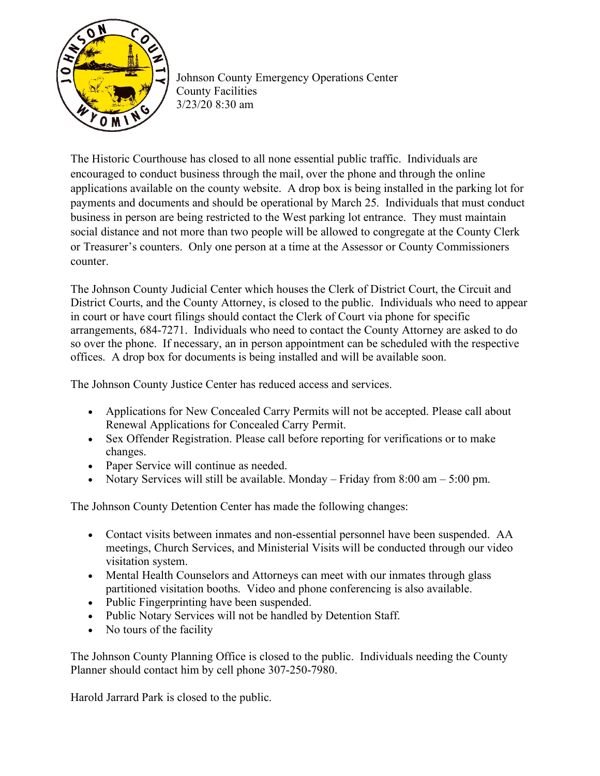

Johnson County Emergency Operations Center County Facilities 3/23/20 8:30 am

The Historic Courthouse has closed to all none essential public traffic. Individuals are encouraged to conduct business through the mail, over the phone and through the online applications available on the county website. A drop box is being installed in the parking lot for payments and documents and should be operational by March 25. Individuals that must conduct business in person are being restricted to the West parking lot entrance. They must maintain social distance and not more than two people will be allowed to congregate at the County Clerk or Treasurer's counters. Only one person at a time at the Assessor or County Commissioners counter.

The Johnson County Judicial Center which houses the Clerk of District Court, the Circuit and District Courts, and the County Attorney, is closed to the public. Individuals who need to appear in court or have court filings should contact the Clerk of Court via phone for specific arrangements, 684-7271. Individuals who need to contact the County Attorney are asked to do so over the phone. If necessary, an in person appointment can be scheduled with the respective offices. A drop box for documents is being installed and will be available soon.

The Johnson County Justice Center has reduced access and services.

- Applications for New Concealed Carry Permits will not be accepted. Please call about Renewal Applications for Concealed Carry Permit.
- Sex Offender Registration. Please call before reporting for verifications or to make changes.
- Paper Service will continue as needed.
- Notary Services will still be available. Monday Friday from 8:00 am 5:00 pm.

The Johnson County Detention Center has made the following changes:

- Contact visits between inmates and non-essential personnel have been suspended. AA meetings, Church Services, and Ministerial Visits will be conducted through our video visitation system.
- Mental Health Counselors and Attorneys can meet with our inmates through glass partitioned visitation booths. Video and phone conferencing is also available.
- Public Fingerprinting have been suspended.
- Public Notary Services will not be handled by Detention Staff.
- No tours of the facility

The Johnson County Planning Office is closed to the public. Individuals needing the County Planner should contact him by cell phone 307-250-7980.

Harold Jarrard Park is closed to the public.